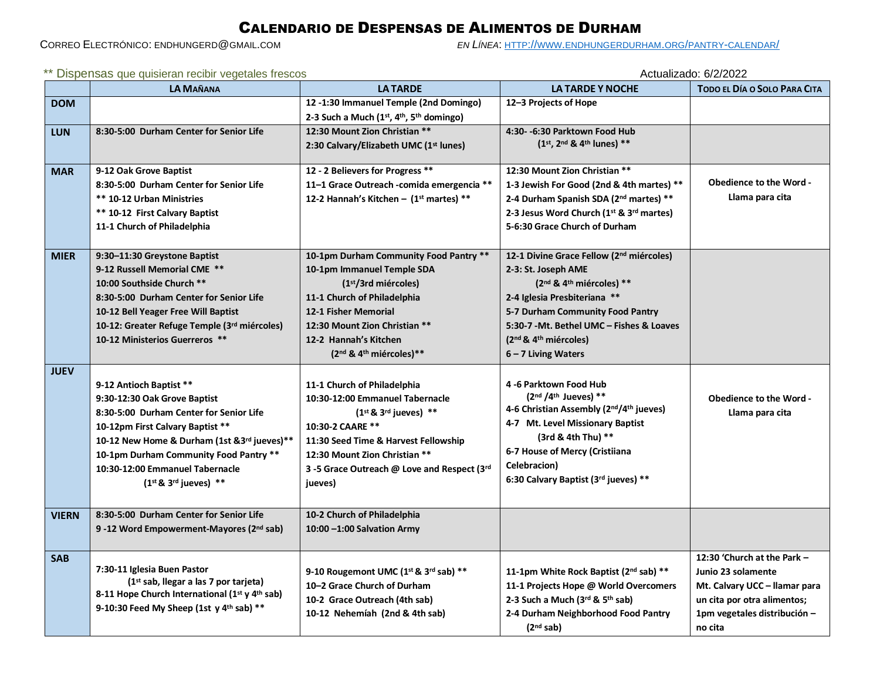## CALENDARIO DE DESPENSAS DE ALIMENTOS DE DURHAM

CORREO ELECTRÓNICO: ENDHUNGERD@GMAIL.COM *EN LÍNEA*: HTTP://WWW.[ENDHUNGERDURHAM](http://www.endhungerdurham.org/pantry-calendar/).ORG/PANTRY-CALENDAR/

| ** Dispensas que quisieran recibir vegetales frescos |  |  |  |
|------------------------------------------------------|--|--|--|
|                                                      |  |  |  |

Actualizado: 6/2/2022

|              | <b>LA MAÑANA</b>                                                          | <b>LATARDE</b>                                                        | <b>LA TARDE Y NOCHE</b>                                            | TODO EL DÍA O SOLO PARA CITA   |
|--------------|---------------------------------------------------------------------------|-----------------------------------------------------------------------|--------------------------------------------------------------------|--------------------------------|
| <b>DOM</b>   |                                                                           | 12-1:30 Immanuel Temple (2nd Domingo)                                 | 12-3 Projects of Hope                                              |                                |
|              |                                                                           | 2-3 Such a Much (1st, 4th, 5th domingo)                               |                                                                    |                                |
| <b>LUN</b>   | 8:30-5:00 Durham Center for Senior Life                                   | 12:30 Mount Zion Christian **                                         | 4:30- -6:30 Parktown Food Hub                                      |                                |
|              |                                                                           | 2:30 Calvary/Elizabeth UMC (1 <sup>st</sup> lunes)                    | (1st, 2nd & 4th lunes) **                                          |                                |
| <b>MAR</b>   | 9-12 Oak Grove Baptist                                                    | 12 - 2 Believers for Progress **                                      | 12:30 Mount Zion Christian **                                      |                                |
|              | 8:30-5:00 Durham Center for Senior Life                                   | 11-1 Grace Outreach -comida emergencia **                             | 1-3 Jewish For Good (2nd & 4th martes) **                          | <b>Obedience to the Word -</b> |
|              | <b>** 10-12 Urban Ministries</b>                                          | 12-2 Hannah's Kitchen - (1st martes) **                               | 2-4 Durham Spanish SDA (2nd martes) **                             | Llama para cita                |
|              | ** 10-12 First Calvary Baptist                                            |                                                                       | 2-3 Jesus Word Church (1st & 3rd martes)                           |                                |
|              | 11-1 Church of Philadelphia                                               |                                                                       | 5-6:30 Grace Church of Durham                                      |                                |
|              |                                                                           |                                                                       |                                                                    |                                |
| <b>MIER</b>  | 9:30-11:30 Greystone Baptist                                              | 10-1pm Durham Community Food Pantry **                                | 12-1 Divine Grace Fellow (2 <sup>nd</sup> miércoles)               |                                |
|              | 9-12 Russell Memorial CME **                                              | 10-1pm Immanuel Temple SDA                                            | 2-3: St. Joseph AME                                                |                                |
|              | 10:00 Southside Church **                                                 | (1 <sup>st</sup> /3rd miércoles)                                      | (2 <sup>nd</sup> & 4 <sup>th</sup> miércoles) **                   |                                |
|              | 8:30-5:00 Durham Center for Senior Life                                   | 11-1 Church of Philadelphia                                           | 2-4 Iglesia Presbiteriana **                                       |                                |
|              | 10-12 Bell Yeager Free Will Baptist                                       | <b>12-1 Fisher Memorial</b>                                           | 5-7 Durham Community Food Pantry                                   |                                |
|              | 10-12: Greater Refuge Temple (3rd miércoles)                              | 12:30 Mount Zion Christian **                                         | 5:30-7 - Mt. Bethel UMC - Fishes & Loaves                          |                                |
|              | 10-12 Ministerios Guerreros **                                            | 12-2 Hannah's Kitchen                                                 | $(2nd$ & $4th$ miércoles)                                          |                                |
|              |                                                                           | $(2nd$ & 4 <sup>th</sup> miércoles)**                                 | $6 - 7$ Living Waters                                              |                                |
| <b>JUEV</b>  |                                                                           |                                                                       |                                                                    |                                |
|              | 9-12 Antioch Baptist **                                                   | 11-1 Church of Philadelphia                                           | 4 -6 Parktown Food Hub                                             |                                |
|              | 9:30-12:30 Oak Grove Baptist                                              | 10:30-12:00 Emmanuel Tabernacle                                       | $(2nd / 4th Jueves) **$<br>4-6 Christian Assembly (2nd/4th jueves) | <b>Obedience to the Word -</b> |
|              | 8:30-5:00 Durham Center for Senior Life                                   | $(1^{st} 8. 3^{rd}$ jueves) **                                        | 4-7 Mt. Level Missionary Baptist                                   | Llama para cita                |
|              | 10-12pm First Calvary Baptist **                                          | 10:30-2 CAARE **                                                      | (3rd & 4th Thu) **                                                 |                                |
|              | 10-12 New Home & Durham (1st & 3rd jueves)**                              | 11:30 Seed Time & Harvest Fellowship<br>12:30 Mount Zion Christian ** | 6-7 House of Mercy (Cristiiana                                     |                                |
|              | 10-1pm Durham Community Food Pantry **<br>10:30-12:00 Emmanuel Tabernacle | 3-5 Grace Outreach @ Love and Respect (3rd                            | Celebracion)                                                       |                                |
|              | $(1^{st} 8.3^{rd}$ jueves) **                                             | jueves)                                                               | 6:30 Calvary Baptist (3rd jueves) **                               |                                |
|              |                                                                           |                                                                       |                                                                    |                                |
| <b>VIERN</b> | 8:30-5:00 Durham Center for Senior Life                                   | 10-2 Church of Philadelphia                                           |                                                                    |                                |
|              | 9 -12 Word Empowerment-Mayores (2 <sup>nd</sup> sab)                      | 10:00 -1:00 Salvation Army                                            |                                                                    |                                |
|              |                                                                           |                                                                       |                                                                    |                                |
| <b>SAB</b>   |                                                                           |                                                                       |                                                                    | 12:30 'Church at the Park -    |
|              | 7:30-11 Iglesia Buen Pastor                                               | 9-10 Rougemont UMC (1st & 3rd sab) **                                 | 11-1pm White Rock Baptist (2nd sab) **                             | Junio 23 solamente             |
|              | (1st sab, llegar a las 7 por tarjeta)                                     | 10-2 Grace Church of Durham                                           | 11-1 Projects Hope @ World Overcomers                              | Mt. Calvary UCC - Ilamar para  |
|              | 8-11 Hope Church International (1st y 4th sab)                            | 10-2 Grace Outreach (4th sab)                                         | 2-3 Such a Much (3rd & 5th sab)                                    | un cita por otra alimentos;    |
|              | 9-10:30 Feed My Sheep (1st y 4 <sup>th</sup> sab) **                      | 10-12 Nehemíah (2nd & 4th sab)                                        | 2-4 Durham Neighborhood Food Pantry                                | 1pm vegetales distribución -   |
|              |                                                                           |                                                                       | (2 <sup>nd</sup> sab)                                              | no cita                        |